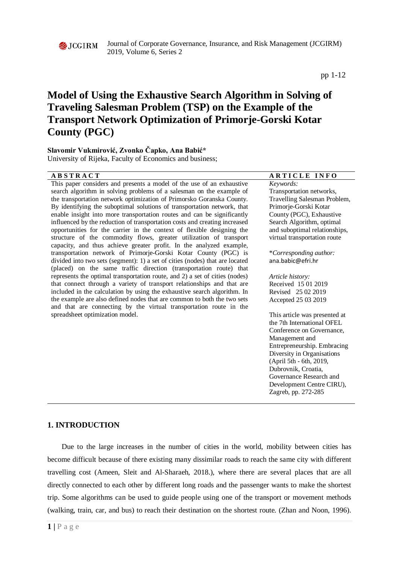

Journal of Corporate Governance, Insurance, and Risk Management (JCGIRM) 2019, Volume 6, Series 2

pp 1-12

# **Model of Using the Exhaustive Search Algorithm in Solving of Traveling Salesman Problem (TSP) on the Example of the Transport Network Optimization of Primorje-Gorski Kotar County (PGC)**

## **Slavomir Vukmirović, Zvonko Čapko, Ana Babić\***

University of Rijeka, Faculty of Economics and business;

## **A B S T R A C T A R T I C L E I N F O**

This paper considers and presents a model of the use of an exhaustive search algorithm in solving problems of a salesman on the example of the transportation network optimization of Primorsko Goranska County. By identifying the suboptimal solutions of transportation network, that enable insight into more transportation routes and can be significantly influenced by the reduction of transportation costs and creating increased opportunities for the carrier in the context of flexible designing the structure of the commodity flows, greater utilization of transport capacity, and thus achieve greater profit. In the analyzed example, transportation network of Primorje-Gorski Kotar County (PGC) is divided into two sets (segment): 1) a set of cities (nodes) that are located (placed) on the same traffic direction (transportation route) that represents the optimal transportation route, and 2) a set of cities (nodes) that connect through a variety of transport relationships and that are included in the calculation by using the exhaustive search algorithm. In the example are also defined nodes that are common to both the two sets and that are connecting by the virtual transportation route in the spreadsheet optimization model.

*Keywords:* Transportation networks, Travelling Salesman Problem, Primorje-Gorski Kotar County (PGC), Exhaustive Search Algorithm, optimal and suboptimal relationships, virtual transportation route

\**Corresponding author:*  ana.babic@efri.hr

*Article history:*  Received 15 01 2019 Revised 25 02 2019 Accepted 25 03 2019

This article was presented at the 7th International OFEL Conference on Governance, Management and Entrepreneurship. Embracing Diversity in Organisations (April 5th - 6th, 2019, Dubrovnik, Croatia, Governance Research and Development Centre CIRU), Zagreb, pp. 272-285

## **1. INTRODUCTION**

Due to the large increases in the number of cities in the world, mobility between cities has become difficult because of there existing many dissimilar roads to reach the same city with different travelling cost (Ameen, Sleit and Al-Sharaeh, 2018.), where there are several places that are all directly connected to each other by different long roads and the passenger wants to make the shortest trip. Some algorithms can be used to guide people using one of the transport or movement methods (walking, train, car, and bus) to reach their destination on the shortest route. (Zhan and Noon, 1996).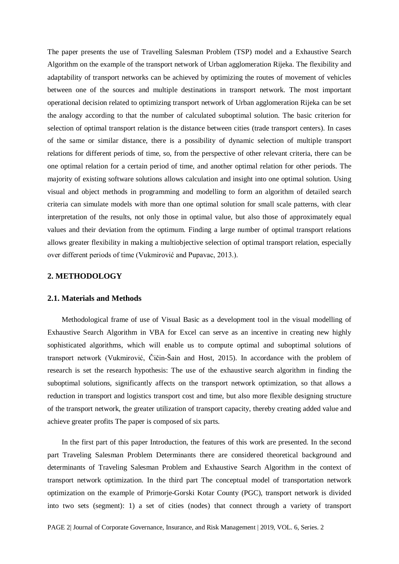The paper presents the use of Travelling Salesman Problem (TSP) model and a Exhaustive Search Algorithm on the example of the transport network of Urban agglomeration Rijeka. The flexibility and adaptability of transport networks can be achieved by optimizing the routes of movement of vehicles between one of the sources and multiple destinations in transport network. The most important operational decision related to optimizing transport network of Urban agglomeration Rijeka can be set the analogy according to that the number of calculated suboptimal solution. The basic criterion for selection of optimal transport relation is the distance between cities (trade transport centers). In cases of the same or similar distance, there is a possibility of dynamic selection of multiple transport relations for different periods of time, so, from the perspective of other relevant criteria, there can be one optimal relation for a certain period of time, and another optimal relation for other periods. The majority of existing software solutions allows calculation and insight into one optimal solution. Using visual and object methods in programming and modelling to form an algorithm of detailed search criteria can simulate models with more than one optimal solution for small scale patterns, with clear interpretation of the results, not only those in optimal value, but also those of approximately equal values and their deviation from the optimum. Finding a large number of optimal transport relations allows greater flexibility in making a multiobjective selection of optimal transport relation, especially over different periods of time (Vukmirović and Pupavac, 2013.).

## **2. METHODOLOGY**

### **2.1. Materials and Methods**

Methodological frame of use of Visual Basic as a development tool in the visual modelling of Exhaustive Search Algorithm in VBA for Excel can serve as an incentive in creating new highly sophisticated algorithms, which will enable us to compute optimal and suboptimal solutions of transport network (Vukmirović, Čičin-Šain and Host, 2015). In accordance with the problem of research is set the research hypothesis: The use of the exhaustive search algorithm in finding the suboptimal solutions, significantly affects on the transport network optimization, so that allows a reduction in transport and logistics transport cost and time, but also more flexible designing structure of the transport network, the greater utilization of transport capacity, thereby creating added value and achieve greater profits The paper is composed of six parts.

In the first part of this paper Introduction, the features of this work are presented. In the second part Traveling Salesman Problem Determinants there are considered theoretical background and determinants of Traveling Salesman Problem and Exhaustive Search Algorithm in the context of transport network optimization. In the third part The conceptual model of transportation network optimization on the example of Primorje-Gorski Kotar County (PGC), transport network is divided into two sets (segment): 1) a set of cities (nodes) that connect through a variety of transport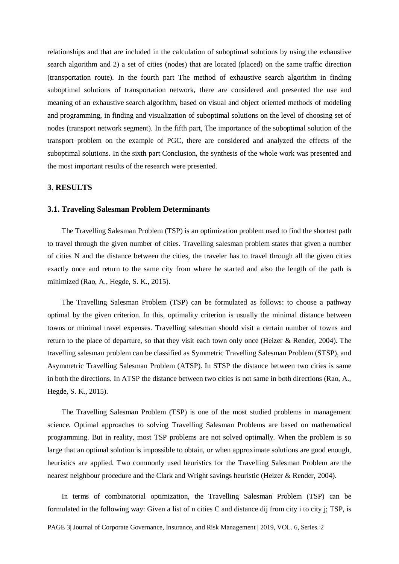relationships and that are included in the calculation of suboptimal solutions by using the exhaustive search algorithm and 2) a set of cities (nodes) that are located (placed) on the same traffic direction (transportation route). In the fourth part The method of exhaustive search algorithm in finding suboptimal solutions of transportation network, there are considered and presented the use and meaning of an exhaustive search algorithm, based on visual and object oriented methods of modeling and programming, in finding and visualization of suboptimal solutions on the level of choosing set of nodes (transport network segment). In the fifth part, The importance of the suboptimal solution of the transport problem on the example of PGC, there are considered and analyzed the effects of the suboptimal solutions. In the sixth part Conclusion, the synthesis of the whole work was presented and the most important results of the research were presented.

## **3. RESULTS**

#### **3.1. Traveling Salesman Problem Determinants**

The Travelling Salesman Problem (TSP) is an optimization problem used to find the shortest path to travel through the given number of cities. Travelling salesman problem states that given a number of cities N and the distance between the cities, the traveler has to travel through all the given cities exactly once and return to the same city from where he started and also the length of the path is minimized (Rao, A., Hegde, S. K., 2015).

The Travelling Salesman Problem (TSP) can be formulated as follows: to choose a pathway optimal by the given criterion. In this, optimality criterion is usually the minimal distance between towns or minimal travel expenses. Travelling salesman should visit a certain number of towns and return to the place of departure, so that they visit each town only once (Heizer & Render, 2004). The travelling salesman problem can be classified as Symmetric Travelling Salesman Problem (STSP), and Asymmetric Travelling Salesman Problem (ATSP). In STSP the distance between two cities is same in both the directions. In ATSP the distance between two cities is not same in both directions (Rao, A., Hegde, S. K., 2015).

The Travelling Salesman Problem (TSP) is one of the most studied problems in management science. Optimal approaches to solving Travelling Salesman Problems are based on mathematical programming. But in reality, most TSP problems are not solved optimally. When the problem is so large that an optimal solution is impossible to obtain, or when approximate solutions are good enough, heuristics are applied. Two commonly used heuristics for the Travelling Salesman Problem are the nearest neighbour procedure and the Clark and Wright savings heuristic (Heizer & Render, 2004).

In terms of combinatorial optimization, the Travelling Salesman Problem (TSP) can be formulated in the following way: Given a list of n cities C and distance dij from city i to city j; TSP, is

PAGE 3| Journal of Corporate Governance, Insurance, and Risk Management | 2019, VOL. 6, Series. 2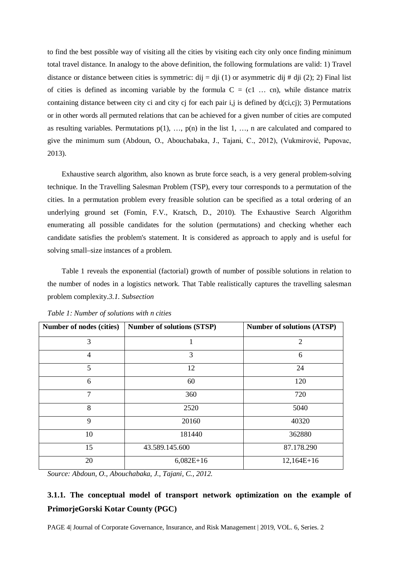to find the best possible way of visiting all the cities by visiting each city only once finding minimum total travel distance. In analogy to the above definition, the following formulations are valid: 1) Travel distance or distance between cities is symmetric: dij = dij (1) or asymmetric dij # dij (2); 2) Final list of cities is defined as incoming variable by the formula  $C = (c1 \dots cn)$ , while distance matrix containing distance between city ci and city cj for each pair i,j is defined by d(ci,cj); 3) Permutations or in other words all permuted relations that can be achieved for a given number of cities are computed as resulting variables. Permutations  $p(1)$ , ...,  $p(n)$  in the list 1, ..., n are calculated and compared to give the minimum sum (Abdoun, O., Abouchabaka, J., Tajani, C., 2012), (Vukmirović, Pupovac, 2013).

Exhaustive search algorithm, also known as brute force seach, is a very general problem-solving technique. In the Travelling Salesman Problem (TSP), every tour corresponds to a permutation of the cities. In a permutation problem every freasible solution can be specified as a total ordering of an underlying ground set (Fomin, F.V., Kratsch, D., 2010). The Exhaustive Search Algorithm enumerating all possible candidates for the solution (permutations) and checking whether each candidate satisfies the problem's statement. It is considered as approach to apply and is useful for solving small–size instances of a problem.

Table 1 reveals the exponential (factorial) growth of number of possible solutions in relation to the number of nodes in a logistics network. That Table realistically captures the travelling salesman problem complexity.*3.1. Subsection*

| Number of nodes (cities) | <b>Number of solutions (STSP)</b> | <b>Number of solutions (ATSP)</b> |
|--------------------------|-----------------------------------|-----------------------------------|
| 3                        |                                   | $\overline{2}$                    |
| $\overline{4}$           | 3                                 | 6                                 |
| 5                        | 12                                | 24                                |
| 6                        | 60                                | 120                               |
| $\overline{7}$           | 360                               | 720                               |
| 8                        | 2520                              | 5040                              |
| 9                        | 20160                             | 40320                             |
| 10                       | 181440                            | 362880                            |
| 15                       | 43.589.145.600                    | 87.178.290                        |
| 20                       | $6,082E+16$                       | $12,164E+16$                      |

*Table 1: Number of solutions with n cities* 

*Source: Abdoun, O., Abouchabaka, J., Tajani, C., 2012.*

# **3.1.1. The conceptual model of transport network optimization on the example of PrimorjeGorski Kotar County (PGC)**

PAGE 4| Journal of Corporate Governance, Insurance, and Risk Management | 2019, VOL. 6, Series. 2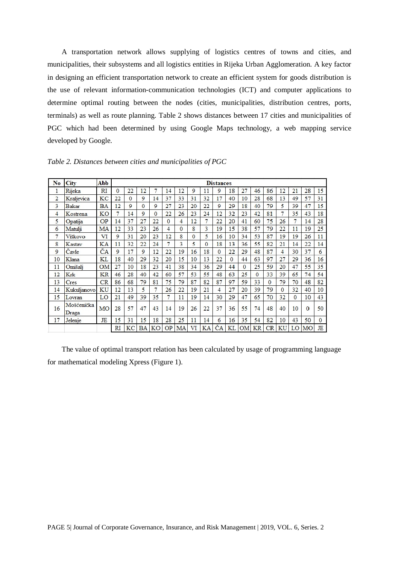A transportation network allows supplying of logistics centres of towns and cities, and municipalities, their subsystems and all logistics entities in Rijeka Urban Agglomeration. A key factor in designing an efficient transportation network to create an efficient system for goods distribution is the use of relevant information-communication technologies (ICT) and computer applications to determine optimal routing between the nodes (cities, municipalities, distribution centres, ports, terminals) as well as route planning. Table 2 shows distances between 17 cities and municipalities of PGC which had been determined by using Google Maps technology, a web mapping service developed by Google.

| No             | City                | Abb       |           |          |           |           |                |          |          |                | <b>Distances</b> |          |          |              |          |          |              |          |          |
|----------------|---------------------|-----------|-----------|----------|-----------|-----------|----------------|----------|----------|----------------|------------------|----------|----------|--------------|----------|----------|--------------|----------|----------|
| 1              | Rijeka              | RI        | $\Omega$  | 22       | 12        | 7         | 14             | 12       | 9        | 11             | 9                | 18       | 27       | 46           | 86       | 12       | 21           | 28       | 15       |
| $\overline{2}$ | Kraljevica          | KC        | 22        | $\Omega$ | 9         | 14        | 37             | 33       | 31       | 32             | 17               | 40       | 10       | 28           | 68       | 13       | 49           | 57       | 31       |
| 3              | Bakar               | <b>BA</b> | 12        | 9        | $\Omega$  | 9         | 27             | 23       | 20       | 22             | 9                | 29       | 18       | 40           | 79       | 5        | 39           | 47       | 15       |
| 4              | Kostrena            | KO        | 7         | 14       | 9         | $\Omega$  | 22             | 26       | 23       | 24             | 12               | 32       | 23       | 42           | 81       |          | 35           | 43       | 18       |
| 5              | Opatija             | OP        | 14        | 37       | 27        | 22        | $\overline{0}$ | 4        | 12       | 7              | 22               | 20       | 41       | 60           | 75       | 26       | 7            | 14       | 28       |
| 6              | Matulji             | MA        | 12        | 33       | 23        | 26        | 4              | $\Omega$ | 8        | 3              | 19               | 15       | 38       | 57           | 79       | 22       | 11           | 19       | 25       |
| 7              | Viškovo             | VI        | 9         | 31       | 20        | 23        | 12             | 8        | $\Omega$ | 5              | 16               | 10       | 34       | 53           | 87       | 19       | 19           | 26       | 11       |
| 8              | Kastav              | KA        | 11        | 32       | 22        | 24        | 7              | 3        | 5        | $\overline{0}$ | 18               | 13       | 36       | 55           | 82       | 21       | 14           | 22       | 14       |
| 9              | Čavle               | ČA        | 9         | 17       | 9         | 12        | 22             | 19       | 16       | 18             | $\mathbf{0}$     | 22       | 29       | 48           | 87       | 4        | 30           | 37       | 6        |
| 10             | Klana               | KL        | 18        | 40       | 29        | 32        | 20             | 15       | 10       | 13             | 22               | $\Omega$ | 44       | 63           | 97       | 27       | 29           | 36       | 16       |
| 11             | Omišali             | <b>OM</b> | 27        | 10       | 18        | 23        | 41             | 38       | 34       | 36             | 29               | 44       | $\Omega$ | 25           | 59       | 20       | 47           | 55       | 35       |
| 12             | Krk                 | <b>KR</b> | 46        | 28       | 40        | 42        | 60             | 57       | 53       | 55             | 48               | 63       | 25       | $\mathbf{0}$ | 33       | 39       | 65           | 74       | 54       |
| 13             | Cres                | CR        | 86        | 68       | 79        | 81        | 75             | 79       | 87       | 82             | 87               | 97       | 59       | 33           | $\Omega$ | 79       | 70           | 48       | 82       |
| 14             | Kukuljanovo         | KU        | 12        | 13       | 5         | 7         | 26             | 22       | 19       | 21             | $\overline{4}$   | 27       | 20       | 39           | 79       | $\Omega$ | 32           | 40       | 10       |
| 15             | Lovran              | LO        | 21        | 49       | 39        | 35        | 7              | 11       | 19       | 14             | 30               | 29       | 47       | 65           | 70       | 32       | $\mathbf{0}$ | 10       | 43       |
| 16             | Mošćenička<br>Draga | MO        | 28        | 57       | 47        | 43        | 14             | 19       | 26       | 22             | 37               | 36       | 55       | 74           | 48       | 40       | 10           | $\Omega$ | 50       |
| 17             | Jelenje             | JE        | 15        | 31       | 15        | 18        | 28             | 25       | 11       | 14             | 6                | 16       | 35       | 54           | 82       | 10       | 43           | 50       | $\Omega$ |
|                |                     |           | <b>RI</b> | KC       | <b>BA</b> | <b>KO</b> | OP             | MA       | VI       | KA             | ČA               | KL       | OМ       | <b>KR</b>    | CR       | KU       | LO           | мо       | JE       |

*Table 2. Distances between cities and municipalities of PGC* 

The value of optimal transport relation has been calculated by usage of programming language for mathematical modeling Xpress (Figure 1).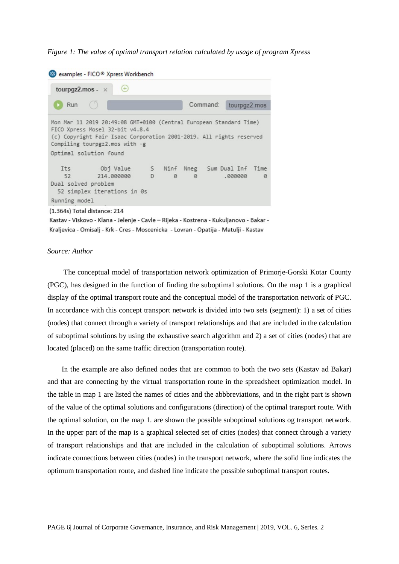*Figure 1: The value of optimal transport relation calculated by usage of program Xpress*

```
examples - FICO® Xpress Workbench
                        \bigoplustourpgz2.mos - \timesRun
                                              Command:
                                                           tourpgz2.mos
Mon Mar 11 2019 20:49:08 GMT+0100 (Central European Standard Time)
FICO Xpress Mosel 32-bit v4.8.4
 (c) Copyright Fair Isaac Corporation 2001-2019. All rights reserved
Compiling tourpgz2.mos with -g
Optimal solution found
                                   Ninf Nneg
                 Obj Value
                                 \mathsf{S}Sum Dual Inf Time
    Its
     52
                214,000000
                                 D
                                      \alpha\overline{a}.000000\OmegaDual solved problem
  52 simplex iterations in 0s
Running model
(1.364s) Total distance: 214
```
Kastav - Viskovo - Klana - Jelenje - Cavle - Rijeka - Kostrena - Kukuljanovo - Bakar -Kraljevica - Omisalj - Krk - Cres - Moscenicka - Lovran - Opatija - Matulji - Kastav

#### *Source: Author*

The conceptual model of transportation network optimization of Primorje-Gorski Kotar County (PGC), has designed in the function of finding the suboptimal solutions. On the map 1 is a graphical display of the optimal transport route and the conceptual model of the transportation network of PGC. In accordance with this concept transport network is divided into two sets (segment): 1) a set of cities (nodes) that connect through a variety of transport relationships and that are included in the calculation of suboptimal solutions by using the exhaustive search algorithm and 2) a set of cities (nodes) that are located (placed) on the same traffic direction (transportation route).

In the example are also defined nodes that are common to both the two sets (Kastav ad Bakar) and that are connecting by the virtual transportation route in the spreadsheet optimization model. In the table in map 1 are listed the names of cities and the abbbreviations, and in the right part is shown of the value of the optimal solutions and configurations (direction) of the optimal transport route. With the optimal solution, on the map 1. are shown the possible suboptimal solutions og transport network. In the upper part of the map is a graphical selected set of cities (nodes) that connect through a variety of transport relationships and that are included in the calculation of suboptimal solutions. Arrows indicate connections between cities (nodes) in the transport network, where the solid line indicates the optimum transportation route, and dashed line indicate the possible suboptimal transport routes.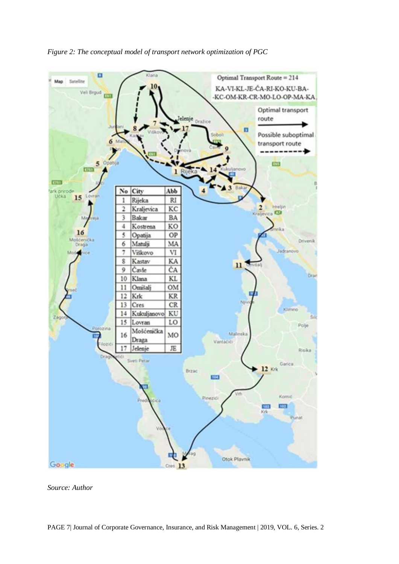

*Figure 2: The conceptual model of transport network optimization of PGC* 

*Source: Author*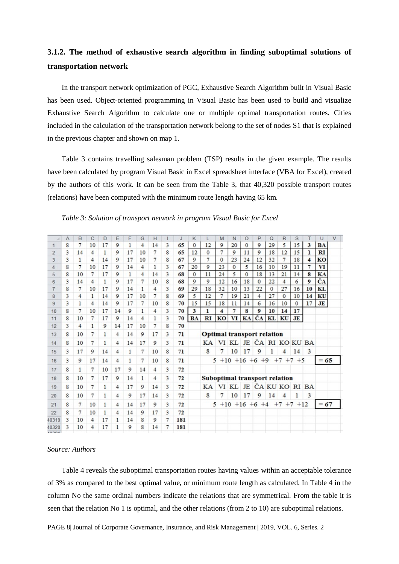## **3.1.2. The method of exhaustive search algorithm in finding suboptimal solutions of transportation network**

In the transport network optimization of PGC, Exhaustive Search Algorithm built in Visual Basic has been used. Object-oriented programming in Visual Basic has been used to build and visualize Exhaustive Search Algorithm to calculate one or multiple optimal transportation routes. Cities included in the calculation of the transportation network belong to the set of nodes S1 that is explained in the previous chapter and shown on map 1.

Table 3 contains travelling salesman problem (TSP) results in the given example. The results have been calculated by program Visual Basic in Excel spreadsheet interface (VBA for Excel), created by the authors of this work. It can be seen from the Table 3, that 40,320 possible transport routes (relations) have been computed with the minimum route length having 65 km.

| и     | Α | B  | С  | D  | Ε  | F            | G              | н  |   | J   | Κ            |                                      | M        | Ν            | $\circ$      | P              | Q            | R                         | S            |           | U         | V |
|-------|---|----|----|----|----|--------------|----------------|----|---|-----|--------------|--------------------------------------|----------|--------------|--------------|----------------|--------------|---------------------------|--------------|-----------|-----------|---|
|       | 8 | 7  | 10 | 17 | 9  | 1            | 4              | 14 | 3 | 65  | $\Omega$     | 12                                   | 9        | 20           | $\mathbf{0}$ | 9              | 29           | 5                         | 15           | 3         | <b>BA</b> |   |
| 2     | 3 | 14 | 4  | 1  | 9  | 17           | 10             |    | 8 | 65  | 12           | 0                                    | 7        | 9            | 11           | 9              | 18           | 12                        | 15           | ı         | RI        |   |
| 3     | 3 | 1  | 4  | 14 | 9  | 17           | 10             | 7  | 8 | 67  | 9            | 7                                    | $\Omega$ | 23           | 24           | 12             | 32           | 7                         | 18           | 4         | KO        |   |
| 4     | 8 | 7  | 10 | 17 | 9  | 14           | $\overline{4}$ |    | 3 | 67  | 20           | 9                                    | 23       | $\mathbf{0}$ | 5            | 16             | 10           | 19                        | 11           | 7         | VI        |   |
| 5     | 8 | 10 | 7  | 17 | 9  | $\mathbf{1}$ | 4              | 14 | 3 | 68  | $\mathbf{0}$ | 11                                   | 24       | 5            | $\bf{0}$     | 18             | 13           | 21                        | 14           | 8         | KA        |   |
| 6     | 3 | 14 | 4  | 1  | 9  | 17           | 7              | 10 | 8 | 68  | 9            | 9                                    | 12       | 16           | 18           | $\Omega$       | 22           | 4                         | 6            | 9         | ČA        |   |
|       | 8 | 7  | 10 | 17 | 9  | 14           | 1              | 4  | 3 | 69  | 29           | 18                                   | 32       | 10           | 13           | 22             | $\mathbf{0}$ | 27                        | 16           | 10        | KL        |   |
| 8     | 3 | 4  | 1  | 14 | 9  | 17           | 10             |    | 8 | 69  | 5            | 12                                   | 7        | 19           | 21           | $\overline{4}$ | 27           | $\mathbf{0}$              | 10           | 14        | KU        |   |
| 9     | 3 | 1  | 4  | 14 | 9  | 17           | 7              | 10 | 8 | 70  | 15           | 15                                   | 18       | 11           | 14           | 6              | 16           | 10                        | $\mathbf{0}$ | 17        | <b>JE</b> |   |
| 10    | 8 | 7  | 10 | 17 | 14 | 9            | 1              | 4  | 3 | 70  | 3            | ı                                    | 4        | 7            | 8            | 9              | 10           | 14                        | 17           |           |           |   |
| 11    | 8 | 10 | 7  | 17 | 9  | 14           | 4              | 1  | 3 | 70  | <b>BA</b>    | RI                                   | KO       | <b>VI</b>    |              | KA ČA          | <b>KL</b>    | KU                        | JE           |           |           |   |
| 12    | 3 | 4  | 1  | 9  | 14 | 17           | 10             |    | 8 | 70  |              |                                      |          |              |              |                |              |                           |              |           |           |   |
| 13    | 8 | 10 | 7  | 1  | 4  | 14           | 9              | 17 | 3 | 71  |              | <b>Optimal transport relation</b>    |          |              |              |                |              |                           |              |           |           |   |
| 14    | 8 | 10 | 7  | 1  | 4  | 14           | 17             | 9  | 3 | 71  |              | KA                                   |          |              |              |                |              | VI KL JE ČA RI KO KU BA   |              |           |           |   |
| 15    | 3 | 17 | 9  | 14 | 4  | 1            | 7              | 10 | 8 | 71  |              | 8                                    | 7        | 10           | 17           | 9              | 1            | 4                         | 14           | 3         |           |   |
| 16    | 3 | 9  | 17 | 14 | 4  | 1            | 7              | 10 | 8 | 71  |              |                                      | 5        |              |              |                |              | $+10$ +16 +6 +9 +7 +7 +5  |              |           | $= 65$    |   |
| 17    | 8 | 1  | 7  | 10 | 17 | 9            | 14             | 4  | 3 | 72  |              |                                      |          |              |              |                |              |                           |              |           |           |   |
| 18    | 8 | 10 | 7  | 17 | 9  | 14           | 1              | 4  | 3 | 72  |              | <b>Suboptimal transport relation</b> |          |              |              |                |              |                           |              |           |           |   |
| 19    | 8 | 10 | 7  | 1  | 4  | 17           | 9              | 14 | 3 | 72  |              | KA                                   |          |              |              |                |              | VI KL JE ČA KU KO RI      |              | <b>BA</b> |           |   |
| 20    | 8 | 10 | 7  | 1  | 4  | 9            | 17             | 14 | 3 | 72  |              | 8                                    | 7        | 10           | 17           | 9              | 14           | 4                         |              | 3         |           |   |
| 21    | 8 | 7  | 10 | 1  | 4  | 14           | 17             | 9  | 3 | 72  |              |                                      |          |              |              |                |              | $+10$ +16 +6 +4 +7 +7 +12 |              |           | $= 67$    |   |
| 22    | 8 | 7  | 10 | 1  | 4  | 14           | 9              | 17 | 3 | 72  |              |                                      |          |              |              |                |              |                           |              |           |           |   |
| 40319 | 3 | 10 | 4  | 17 | 1  | 14           | 8              | 9  | 7 | 181 |              |                                      |          |              |              |                |              |                           |              |           |           |   |
| 40320 | 3 | 10 | 4  | 17 | 1  | 9            | 8              | 14 | 7 | 181 |              |                                      |          |              |              |                |              |                           |              |           |           |   |
| 10001 |   |    |    |    |    |              |                |    |   |     |              |                                      |          |              |              |                |              |                           |              |           |           |   |

*Table 3: Solution of transport network in program Visual Basic for Excel* 

### *Source: Authors*

Table 4 reveals the suboptimal transportation routes having values within an acceptable tolerance of 3% as compared to the best optimal value, or minimum route length as calculated. In Table 4 in the column No the same ordinal numbers indicate the relations that are symmetrical. From the table it is seen that the relation No 1 is optimal, and the other relations (from 2 to 10) are suboptimal relations.

PAGE 8| Journal of Corporate Governance, Insurance, and Risk Management | 2019, VOL. 6, Series. 2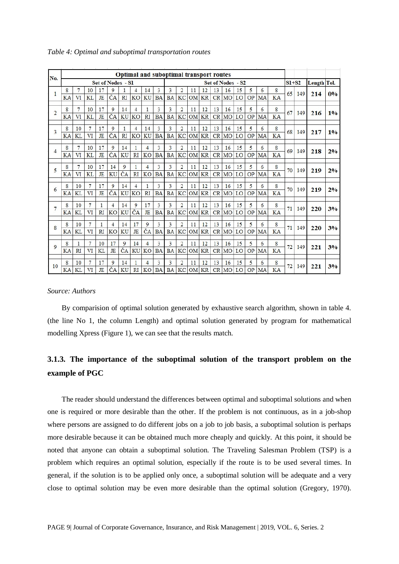| No.            |    |                |           |                |                   |           |           | <b>Optimal and suboptimal transport routes</b> |           |           |                |           |           |    |                   |    |           |    |               |           |     |             |    |
|----------------|----|----------------|-----------|----------------|-------------------|-----------|-----------|------------------------------------------------|-----------|-----------|----------------|-----------|-----------|----|-------------------|----|-----------|----|---------------|-----------|-----|-------------|----|
|                |    |                |           |                | Set of Nodes - S1 |           |           |                                                |           |           |                |           |           |    | Set of Nodes - S2 |    |           |    |               | $SI + S2$ |     | Length Tol. |    |
| 1              | 8  |                | 10        | 17             | 9                 |           | 4         | 14                                             | 3         | 3         | 2              | 11        | 12        | 13 | 16                | 15 | 5         | 6  | 8             | 65        | 149 | 214         | 0% |
|                | KA | VI             | KL        | JE             | ČA                | <b>RI</b> | <b>KO</b> | KU                                             | <b>BA</b> | <b>BA</b> | KC             | <b>OM</b> | <b>KR</b> | CR | MO                | LO | OP        | MA | KA            |           |     |             |    |
| $\overline{2}$ | 8  | 7              | 10        | 17             | 9                 | 14        | 4         | $\mathbf{1}$                                   | 3         | 3         | $\overline{2}$ | 11        | 12        | 13 | 16                | 15 | 5         | 6  | 8             | 67        | 149 | 216         | 1% |
|                | KA | VI             | <b>KL</b> | JE             | ČA                | KU        | <b>KO</b> | RI                                             | <b>BA</b> | <b>BA</b> | KC             | OM        | <b>KR</b> | CR | MO                | LO | OP        | MA | KA            |           |     |             |    |
|                | 8  | 10             | 7         | 17             | 9                 | 1         | 4         | 14                                             | 3         | 3         | $\overline{2}$ | 11        | 12        | 13 | 16                | 15 | 5         | 6  | 8             |           |     |             |    |
| 3              | KA | KL             | VI        | JE             | ČA                | RI        | <b>KO</b> | KU                                             | <b>BA</b> | <b>BA</b> | KC             | <b>OM</b> | <b>KR</b> | CR | MO                | LO | OP        | MA | KA            | 68        | 149 | 217         | 1% |
|                |    |                |           |                |                   |           |           |                                                |           |           |                |           |           |    |                   |    |           |    |               |           |     |             |    |
| 4              | 8  | $\overline{7}$ | 10        | 17             | 9                 | 14        | 1         | $\overline{4}$                                 | 3         | 3         | $\overline{2}$ | 11        | 12        | 13 | 16                | 15 | 5         | 6  | 8<br>69<br>KA |           | 149 | 218         | 2% |
|                | KA | VI             | KL        | JE             | ČA                | KU        | RI        | <b>KO</b>                                      | <b>BA</b> | <b>BA</b> | KC             | <b>OM</b> | <b>KR</b> | CR | MO                | LO | <b>OP</b> | MA |               |           |     |             |    |
|                | 8  | 7              | 10        | 17             | 14                | 9         | 1         | $\overline{4}$                                 | 3         | 3         | $\overline{2}$ | 11        | 12        | 13 | 16                | 15 | 5         | 6  | 8             |           |     |             |    |
| 5              | KA | VI             | KL        | JE             | KU                | ČA        | RI        | <b>KO</b>                                      | <b>BA</b> | <b>BA</b> | KC             | <b>OM</b> | <b>KR</b> | CR | MO                | LO | OP        | MA | KA            | 70        | 149 | 219         | 2% |
|                |    |                |           |                |                   |           |           |                                                |           |           |                |           |           |    |                   |    |           |    |               |           |     |             |    |
| 6              | 8  | 10             | 7         | 17             | 9                 | 14        | 4         | 1                                              | 3         | 3         | $\overline{2}$ | 11        | 12        | 13 | 16                | 15 | 5         | 6  | 8             | 70        | 149 | 219         | 2% |
|                | KA | <b>KL</b>      | VI        | JE             | ČA                | KU        | <b>KO</b> | RI                                             | <b>BA</b> | <b>BA</b> | KC             | <b>OM</b> | <b>KR</b> | CR | MO                | LO | OP        | MA | KA            |           |     |             |    |
| $\overline{7}$ | 8  | 10             |           | 1              | 4                 | 14        | 9         | 17                                             | 3         | 3         | $\overline{2}$ | 11        | 12        | 13 | 16                | 15 | 5         | 6  | 8             | 71        |     |             |    |
|                | KA | <b>KL</b>      | VI        | R <sub>I</sub> | <b>KO</b>         | KU        | ČA        | JE                                             | <b>BA</b> | <b>BA</b> | KC             | OM        | <b>KR</b> | CR | MO                | LO | OP        | MA | KA            |           | 149 | 220         | 3% |
|                | 8  | 10             | 7         | 1              | $\overline{4}$    | 14        | 17        | 9                                              | 3         | 3         | $\overline{2}$ | 11        | 12        | 13 | 16                | 15 | 5         | 6  | 8             |           |     |             |    |
| 8              | KA | KL             | VI        | R <sub>I</sub> | KO                | KU        | JE        | ČA                                             | <b>BA</b> | <b>BA</b> | KC             | <b>OM</b> | <b>KR</b> | CR | MO                | LO | OP        | MA | KA            | 71        | 149 | 220         | 3% |
|                |    |                |           |                |                   |           |           |                                                |           |           |                |           |           |    |                   |    |           |    |               |           |     |             |    |
| 9              | 8  | $\mathbf{1}$   |           | 10             | 17                | 9         | 14        | $\overline{4}$                                 | 3         | 3         | $\overline{2}$ | 11        | 12        | 13 | 16                | 15 | 5         | 6  | 8             | 72        | 149 | 221         | 3% |
|                | KA | <b>RI</b>      | VI        | <b>KL</b>      | JE                | ČA        | KU        | KO                                             | <b>BA</b> | <b>BA</b> | KC             | <b>OM</b> | KR        | CR | MO                | LO | OP        | MA | KA            |           |     |             |    |
|                | 8  | 10             |           | 17             | 9                 | 14        | 1         | $\overline{4}$                                 | 3         | 3         | $\overline{2}$ | 11        | 12        | 13 | 16                | 15 | 5         | 6  | 8             |           |     |             |    |
| 10             | KA | KL             | VI        | JE             | ČA                | KU        | <b>RI</b> | <b>KO</b>                                      | <b>BA</b> | <b>BA</b> | KC             | <b>OM</b> | <b>KR</b> | CR | MO                | LO | OP        | MA | KA            | 72        | 149 | 221         | 3% |
|                |    |                |           |                |                   |           |           |                                                |           |           |                |           |           |    |                   |    |           |    |               |           |     |             |    |

*Table 4: Optimal and suboptimal transportation routes*

#### *Source: Authors*

By comparision of optimal solution generated by exhaustive search algorithm, shown in table 4. (the line No 1, the column Length) and optimal solution generated by program for mathematical modelling Xpress (Figure 1), we can see that the results match.

## **3.1.3. The importance of the suboptimal solution of the transport problem on the example of PGC**

The reader should understand the differences between optimal and suboptimal solutions and when one is required or more desirable than the other. If the problem is not continuous, as in a job-shop where persons are assigned to do different jobs on a job to job basis, a suboptimal solution is perhaps more desirable because it can be obtained much more cheaply and quickly. At this point, it should be noted that anyone can obtain a suboptimal solution. The Traveling Salesman Problem (TSP) is a problem which requires an optimal solution, especially if the route is to be used several times. In general, if the solution is to be applied only once, a suboptimal solution will be adequate and a very close to optimal solution may be even more desirable than the optimal solution (Gregory, 1970).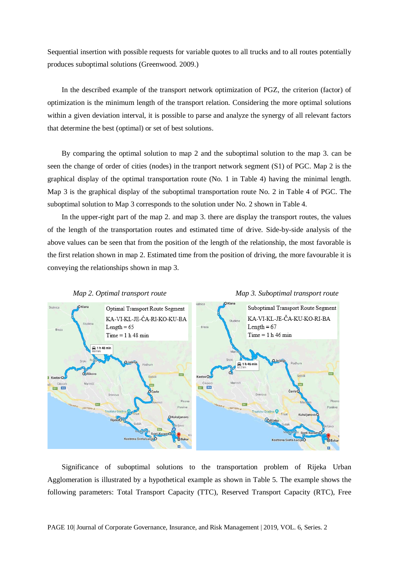Sequential insertion with possible requests for variable quotes to all trucks and to all routes potentially produces suboptimal solutions (Greenwood. 2009.)

In the described example of the transport network optimization of PGZ, the criterion (factor) of optimization is the minimum length of the transport relation. Considering the more optimal solutions within a given deviation interval, it is possible to parse and analyze the synergy of all relevant factors that determine the best (optimal) or set of best solutions.

By comparing the optimal solution to map 2 and the suboptimal solution to the map 3. can be seen the change of order of cities (nodes) in the tranport network segment (S1) of PGC. Map 2 is the graphical display of the optimal transportation route (No. 1 in Table 4) having the minimal length. Map 3 is the graphical display of the suboptimal transportation route No. 2 in Table 4 of PGC. The suboptimal solution to Map 3 corresponds to the solution under No. 2 shown in Table 4.

In the upper-right part of the map 2. and map 3. there are display the transport routes, the values of the length of the transportation routes and estimated time of drive. Side-by-side analysis of the above values can be seen that from the position of the length of the relationship, the most favorable is the first relation shown in map 2. Estimated time from the position of driving, the more favourable it is conveying the relationships shown in map 3.



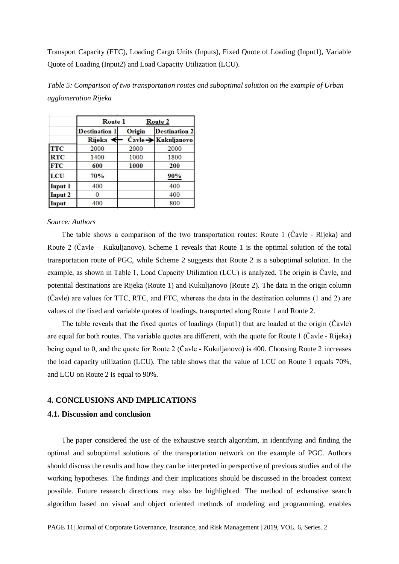Transport Capacity (FTC), Loading Cargo Units (Inputs), Fixed Quote of Loading (Input1), Variable Quote of Loading (Input2) and Load Capacity Utilization (LCU).

|                | <b>Route</b> 1       | Route 2 |                      |
|----------------|----------------------|---------|----------------------|
|                | <b>Destination 1</b> | Origin  | <b>Destination 2</b> |
|                | <b>Rijeka</b>        |         | Čavle → Kukuljanovo  |
| <b>TTC</b>     | 2000                 | 2000    | 2000                 |
| <b>RTC</b>     | 1400                 | 1000    | 1800                 |
| <b>FTC</b>     | 600                  | 1000    | 200                  |
| LCU            | 70%                  |         | 90%                  |
| <b>Input 1</b> | 400                  |         | 400                  |
| <b>Input 2</b> |                      |         | 400                  |
| Input          | 400                  |         | 800                  |

*Table 5: Comparison of two transportation routes and suboptimal solution on the example of Urban agglomeration Rijeka*

#### *Source: Authors*

The table shows a comparison of the two transportation routes: Route 1 (Čavle - Rijeka) and Route 2 (Čavle – Kukuljanovo). Scheme 1 reveals that Route 1 is the optimal solution of the total transportation route of PGC, while Scheme 2 suggests that Route 2 is a suboptimal solution. In the example, as shown in Table 1, Load Capacity Utilization (LCU) is analyzed. The origin is Čavle, and potential destinations are Rijeka (Route 1) and Kukuljanovo (Route 2). The data in the origin column (Čavle) are values for TTC, RTC, and FTC, whereas the data in the destination columns (1 and 2) are values of the fixed and variable quotes of loadings, transported along Route 1 and Route 2.

The table reveals that the fixed quotes of loadings (Input1) that are loaded at the origin (Čavle) are equal for both routes. The variable quotes are different, with the quote for Route 1 (Čavle - Rijeka) being equal to 0, and the quote for Route 2 (Čavle - Kukuljanovo) is 400. Choosing Route 2 increases the load capacity utilization (LCU). The table shows that the value of LCU on Route 1 equals 70%, and LCU on Route 2 is equal to 90%.

## **4. CONCLUSIONS AND IMPLICATIONS**

## **4.1. Discussion and conclusion**

The paper considered the use of the exhaustive search algorithm, in identifying and finding the optimal and suboptimal solutions of the transportation network on the example of PGC. Authors should discuss the results and how they can be interpreted in perspective of previous studies and of the working hypotheses. The findings and their implications should be discussed in the broadest context possible. Future research directions may also be highlighted. The method of exhaustive search algorithm based on visual and object oriented methods of modeling and programming, enables